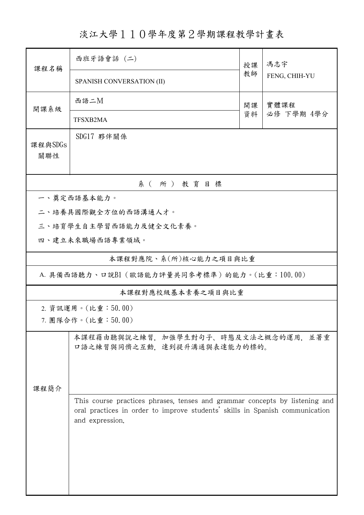淡江大學110學年度第2學期課程教學計畫表

| 課程名稱                                          | 西班牙語會話 (二)                                                                                                                                                                     | 授課 | 馮志宇<br>FENG, CHIH-YU |  |  |  |
|-----------------------------------------------|--------------------------------------------------------------------------------------------------------------------------------------------------------------------------------|----|----------------------|--|--|--|
|                                               | SPANISH CONVERSATION (II)                                                                                                                                                      | 教師 |                      |  |  |  |
| 開課系級                                          | 西語二M<br>實體課程<br>開課                                                                                                                                                             |    |                      |  |  |  |
|                                               | TFSXB2MA                                                                                                                                                                       | 資料 | 必修 下學期 4學分           |  |  |  |
| 課程與SDGs<br>關聯性                                | SDG17 夥伴關係                                                                                                                                                                     |    |                      |  |  |  |
| 系(所)教育目標                                      |                                                                                                                                                                                |    |                      |  |  |  |
|                                               | 一、奠定西語基本能力。                                                                                                                                                                    |    |                      |  |  |  |
| 二、培養具國際觀全方位的西語溝通人才。                           |                                                                                                                                                                                |    |                      |  |  |  |
|                                               | 三、培育學生自主學習西語能力及健全文化素養。                                                                                                                                                         |    |                      |  |  |  |
|                                               | 四、建立未來職場西語專業領域。                                                                                                                                                                |    |                      |  |  |  |
| 本課程對應院、系(所)核心能力之項目與比重                         |                                                                                                                                                                                |    |                      |  |  |  |
| A. 具備西語聽力、口說B1 (歐語能力評量共同參考標準) 的能力。(比重:100.00) |                                                                                                                                                                                |    |                      |  |  |  |
| 本課程對應校級基本素養之項目與比重                             |                                                                                                                                                                                |    |                      |  |  |  |
|                                               | 2. 資訊運用。(比重:50.00)                                                                                                                                                             |    |                      |  |  |  |
|                                               | 7. 團隊合作。(比重:50.00)                                                                                                                                                             |    |                      |  |  |  |
|                                               | 本課程藉由聽與說之練習,加強學生對句子、時態及文法之概念的運用,<br>口語之練習與同儕之互動,達到提升溝通與表達能力的標的。                                                                                                                |    | 並著重                  |  |  |  |
| 课程简介                                          |                                                                                                                                                                                |    |                      |  |  |  |
|                                               | This course practices phrases, tenses and grammar concepts by listening and<br>oral practices in order to improve students' skills in Spanish communication<br>and expression. |    |                      |  |  |  |
|                                               |                                                                                                                                                                                |    |                      |  |  |  |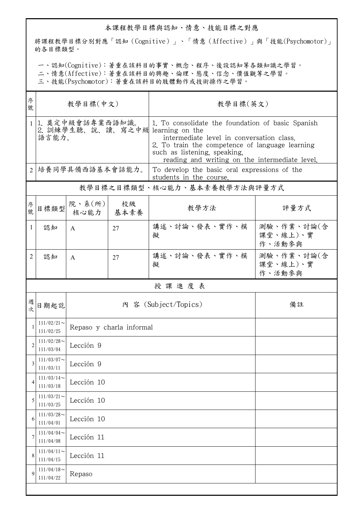## 本課程教學目標與認知、情意、技能目標之對應

將課程教學目標分別對應「認知(Cognitive)」、「情意(Affective)」與「技能(Psychomotor)」 的各目標類型。

一、認知(Cognitive):著重在該科目的事實、概念、程序、後設認知等各類知識之學習。

二、情意(Affective):著重在該科目的興趣、倫理、態度、信念、價值觀等之學習。

三、技能(Psychomotor):著重在該科目的肢體動作或技術操作之學習。

| 序<br>號         | 教學目標(中文)                                                       |                                           |    | 教學目標(英文)                                                                                                                                                                                                                            |                                  |  |  |  |
|----------------|----------------------------------------------------------------|-------------------------------------------|----|-------------------------------------------------------------------------------------------------------------------------------------------------------------------------------------------------------------------------------------|----------------------------------|--|--|--|
| $\mathbf{1}$   | 1. 奠定中級會話專業西語知識。<br>2. 訓練學生聽、說、讀、寫之中級 learning on the<br>語言能力。 |                                           |    | 1. To consolidate the foundation of basic Spanish<br>intermediate level in conversation class.<br>2. To train the competence of language learning<br>such as listening, speaking,<br>reading and writing on the intermediate level. |                                  |  |  |  |
| $\overline{2}$ | 培養同學具備西語基本會話能力。                                                |                                           |    | To develop the basic oral expressions of the<br>students in the course.                                                                                                                                                             |                                  |  |  |  |
|                |                                                                |                                           |    | 教學目標之目標類型、核心能力、基本素養教學方法與評量方式                                                                                                                                                                                                        |                                  |  |  |  |
| 序號             | 目標類型                                                           | 院、系 $(\hbox{\it\ffamily m})$<br>核心能力 基本素養 | 校級 | 教學方法                                                                                                                                                                                                                                | 評量方式                             |  |  |  |
| 1              | 認知                                                             | A                                         | 27 | 講述、討論、發表、實作、模<br>擬                                                                                                                                                                                                                  | 測驗、作業、討論(含<br>課堂、線上)、實<br>作、活動參與 |  |  |  |
| 2              | 認知                                                             | $\mathsf{A}$                              | 27 | 講述、討論、發表、實作、模<br>擬                                                                                                                                                                                                                  | 測驗、作業、討論(含<br>課堂、線上)、實<br>作、活動參與 |  |  |  |
|                | 授課進度表                                                          |                                           |    |                                                                                                                                                                                                                                     |                                  |  |  |  |
| 週次             | 日期起訖                                                           |                                           |    | 內 容 (Subject/Topics)                                                                                                                                                                                                                | 備註                               |  |  |  |
|                | $111/02/21$ ~<br>111/02/25                                     | Repaso y charla informal                  |    |                                                                                                                                                                                                                                     |                                  |  |  |  |
| $\mathfrak{D}$ | $111/02/28$ ~<br>111/03/04                                     | Lección 9                                 |    |                                                                                                                                                                                                                                     |                                  |  |  |  |
|                | $111/03/07\mathord\sim$<br>111/03/11                           | Lección 9                                 |    |                                                                                                                                                                                                                                     |                                  |  |  |  |
| 4              | $111/03/14$ ~<br>111/03/18                                     | Lección 10                                |    |                                                                                                                                                                                                                                     |                                  |  |  |  |
| 5              | $111/03/21$ ~<br>111/03/25                                     | Lección 10                                |    |                                                                                                                                                                                                                                     |                                  |  |  |  |
| 6              | $111/03/28$ ~<br>111/04/01                                     | Lección 10                                |    |                                                                                                                                                                                                                                     |                                  |  |  |  |
| 7              | $111/04/04$ ~<br>111/04/08                                     | Lección 11                                |    |                                                                                                                                                                                                                                     |                                  |  |  |  |
| 8              | $111/04/11$ ~<br>111/04/15                                     | Lección 11                                |    |                                                                                                                                                                                                                                     |                                  |  |  |  |
| $\mathbf Q$    | $111/04/18$ ~<br>111/04/22                                     | Repaso                                    |    |                                                                                                                                                                                                                                     |                                  |  |  |  |
|                |                                                                |                                           |    |                                                                                                                                                                                                                                     |                                  |  |  |  |